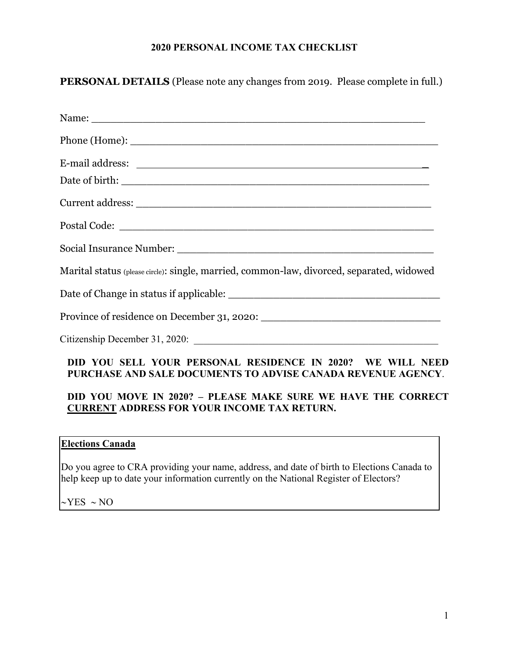## **2020 PERSONAL INCOME TAX CHECKLIST**

**PERSONAL DETAILS** (Please note any changes from 2019. Please complete in full.)

| Name: Name:                                                                                                                |
|----------------------------------------------------------------------------------------------------------------------------|
|                                                                                                                            |
|                                                                                                                            |
|                                                                                                                            |
|                                                                                                                            |
|                                                                                                                            |
|                                                                                                                            |
| Marital status (please circle): single, married, common-law, divorced, separated, widowed                                  |
|                                                                                                                            |
|                                                                                                                            |
|                                                                                                                            |
| DID YOU SELL YOUR PERSONAL RESIDENCE IN 2020? WE WILL NEED<br>PURCHASE AND SALE DOCUMENTS TO ADVISE CANADA REVENUE AGENCY. |
| DID VOU MOVE IN 20202 DI FASE MAKE SUDE WE HAVE THE CODDECT                                                                |

## **DID YOU MOVE IN 2020? – PLEASE MAKE SURE WE HAVE THE CORRECT CURRENT ADDRESS FOR YOUR INCOME TAX RETURN.**

## **Elections Canada**

Do you agree to CRA providing your name, address, and date of birth to Elections Canada to help keep up to date your information currently on the National Register of Electors?

 $\sim$ YES  $\sim$  NO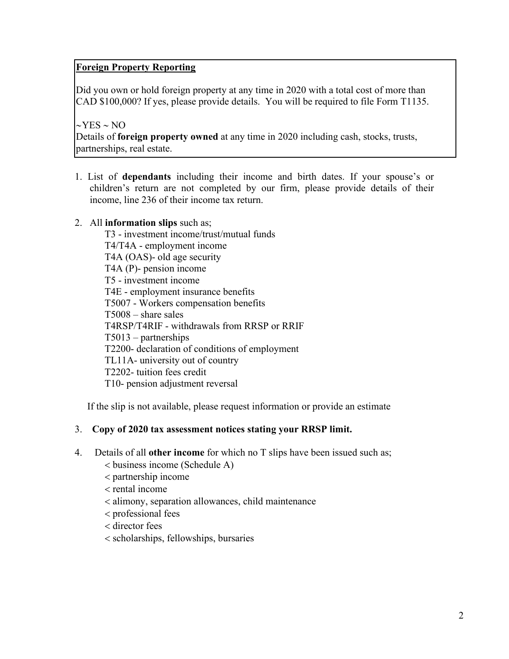# **Foreign Property Reporting**

Did you own or hold foreign property at any time in 2020 with a total cost of more than CAD \$100,000? If yes, please provide details. You will be required to file Form T1135.

 $\sim$ YES  $\sim$  NO Details of **foreign property owned** at any time in 2020 including cash, stocks, trusts, partnerships, real estate.

1. List of **dependants** including their income and birth dates. If your spouse's or children's return are not completed by our firm, please provide details of their income, line 236 of their income tax return.

### 2. All **information slips** such as;

T3 - investment income/trust/mutual funds T4/T4A - employment income T4A (OAS)- old age security T4A (P)- pension income T5 - investment income T4E - employment insurance benefits T5007 - Workers compensation benefits T5008 – share sales T4RSP/T4RIF - withdrawals from RRSP or RRIF T5013 – partnerships T2200- declaration of conditions of employment TL11A- university out of country T2202- tuition fees credit T10- pension adjustment reversal

If the slip is not available, please request information or provide an estimate

### 3. **Copy of 2020 tax assessment notices stating your RRSP limit.**

- 4. Details of all **other income** for which no T slips have been issued such as;
	- business income (Schedule A)
	- partnership income
	- $<$  rental income
	- alimony, separation allowances, child maintenance
	- professional fees
	- director fees
	- scholarships, fellowships, bursaries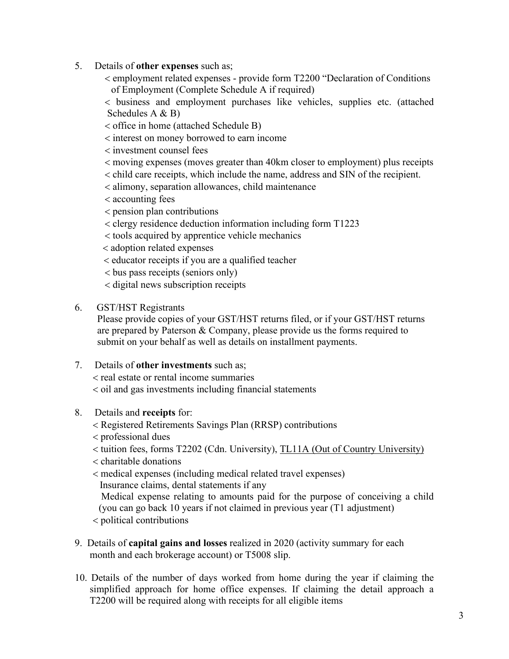- 5. Details of **other expenses** such as;
	- employment related expenses provide form T2200 "Declaration of Conditions of Employment (Complete Schedule A if required)

 business and employment purchases like vehicles, supplies etc. (attached Schedules A & B)

- office in home (attached Schedule B)
- interest on money borrowed to earn income

investment counsel fees

- moving expenses (moves greater than 40km closer to employment) plus receipts
- child care receipts, which include the name, address and SIN of the recipient.
- alimony, separation allowances, child maintenance
- accounting fees
- pension plan contributions
- clergy residence deduction information including form T1223
- tools acquired by apprentice vehicle mechanics
- adoption related expenses
- educator receipts if you are a qualified teacher
- bus pass receipts (seniors only)
- digital news subscription receipts
- 6. GST/HST Registrants

Please provide copies of your GST/HST returns filed, or if your GST/HST returns are prepared by Paterson & Company, please provide us the forms required to submit on your behalf as well as details on installment payments.

7. Details of **other investments** such as;

real estate or rental income summaries

 $\alpha$  < oil and gas investments including financial statements

- 8. Details and **receipts** for:
	- Registered Retirements Savings Plan (RRSP) contributions
	- professional dues
	- tuition fees, forms T2202 (Cdn. University), TL11A (Out of Country University)
	- $\epsilon$  charitable donations
	- medical expenses (including medical related travel expenses) Insurance claims, dental statements if any

 Medical expense relating to amounts paid for the purpose of conceiving a child (you can go back 10 years if not claimed in previous year (T1 adjustment)

political contributions

- 9. Details of **capital gains and losses** realized in 2020 (activity summary for each month and each brokerage account) or T5008 slip.
- 10. Details of the number of days worked from home during the year if claiming the simplified approach for home office expenses. If claiming the detail approach a T2200 will be required along with receipts for all eligible items